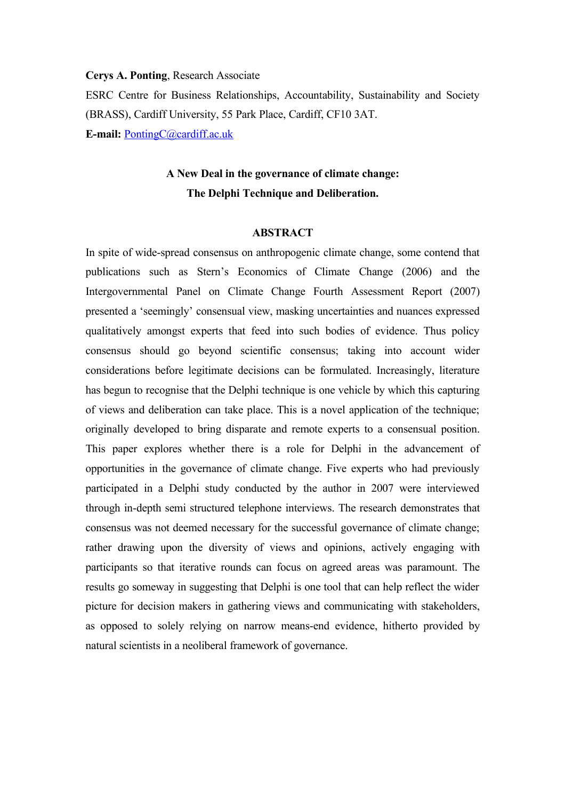**Cerys A. Ponting**, Research Associate

ESRC Centre for Business Relationships, Accountability, Sustainability and Society (BRASS), Cardiff University, 55 Park Place, Cardiff, CF10 3AT.

**E-mail:** [PontingC@cardiff.ac.uk](mailto:PontingC@cardiff.ac.uk)

# **A New Deal in the governance of climate change: The Delphi Technique and Deliberation.**

#### **ABSTRACT**

In spite of wide-spread consensus on anthropogenic climate change, some contend that publications such as Stern's Economics of Climate Change (2006) and the Intergovernmental Panel on Climate Change Fourth Assessment Report (2007) presented a 'seemingly' consensual view, masking uncertainties and nuances expressed qualitatively amongst experts that feed into such bodies of evidence. Thus policy consensus should go beyond scientific consensus; taking into account wider considerations before legitimate decisions can be formulated. Increasingly, literature has begun to recognise that the Delphi technique is one vehicle by which this capturing of views and deliberation can take place. This is a novel application of the technique; originally developed to bring disparate and remote experts to a consensual position. This paper explores whether there is a role for Delphi in the advancement of opportunities in the governance of climate change. Five experts who had previously participated in a Delphi study conducted by the author in 2007 were interviewed through in-depth semi structured telephone interviews. The research demonstrates that consensus was not deemed necessary for the successful governance of climate change; rather drawing upon the diversity of views and opinions, actively engaging with participants so that iterative rounds can focus on agreed areas was paramount. The results go someway in suggesting that Delphi is one tool that can help reflect the wider picture for decision makers in gathering views and communicating with stakeholders, as opposed to solely relying on narrow means-end evidence, hitherto provided by natural scientists in a neoliberal framework of governance.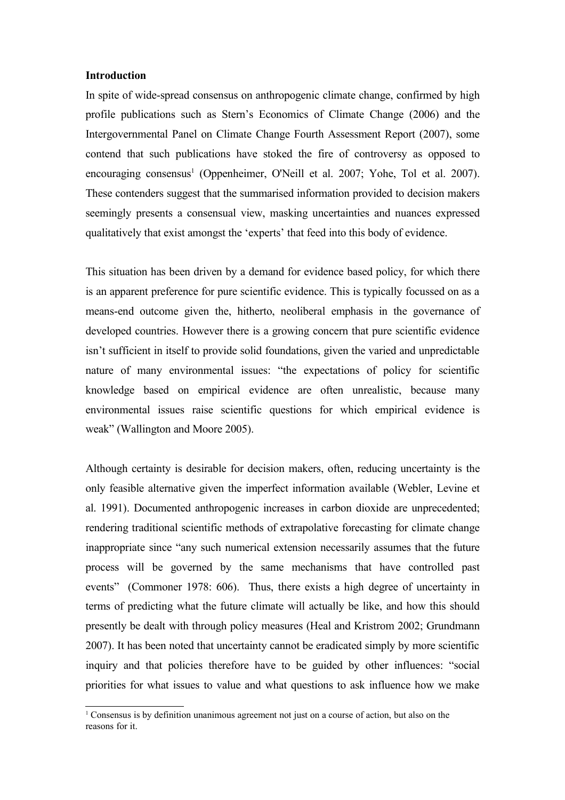#### **Introduction**

In spite of wide-spread consensus on anthropogenic climate change, confirmed by high profile publications such as Stern's Economics of Climate Change (2006) and the Intergovernmental Panel on Climate Change Fourth Assessment Report (2007), some contend that such publications have stoked the fire of controversy as opposed to encouraging consensus<sup>[1](#page-1-0)</sup> (Oppenheimer, O'Neill et al. 2007; Yohe, Tol et al. 2007). These contenders suggest that the summarised information provided to decision makers seemingly presents a consensual view, masking uncertainties and nuances expressed qualitatively that exist amongst the 'experts' that feed into this body of evidence.

This situation has been driven by a demand for evidence based policy, for which there is an apparent preference for pure scientific evidence. This is typically focussed on as a means-end outcome given the, hitherto, neoliberal emphasis in the governance of developed countries. However there is a growing concern that pure scientific evidence isn't sufficient in itself to provide solid foundations, given the varied and unpredictable nature of many environmental issues: "the expectations of policy for scientific knowledge based on empirical evidence are often unrealistic, because many environmental issues raise scientific questions for which empirical evidence is weak" (Wallington and Moore 2005).

Although certainty is desirable for decision makers, often, reducing uncertainty is the only feasible alternative given the imperfect information available (Webler, Levine et al. 1991). Documented anthropogenic increases in carbon dioxide are unprecedented; rendering traditional scientific methods of extrapolative forecasting for climate change inappropriate since "any such numerical extension necessarily assumes that the future process will be governed by the same mechanisms that have controlled past events" (Commoner 1978: 606). Thus, there exists a high degree of uncertainty in terms of predicting what the future climate will actually be like, and how this should presently be dealt with through policy measures (Heal and Kristrom 2002; Grundmann 2007). It has been noted that uncertainty cannot be eradicated simply by more scientific inquiry and that policies therefore have to be guided by other influences: "social priorities for what issues to value and what questions to ask influence how we make

<span id="page-1-0"></span><sup>1</sup> Consensus is by definition unanimous agreement not just on a course of action, but also on the reasons for it.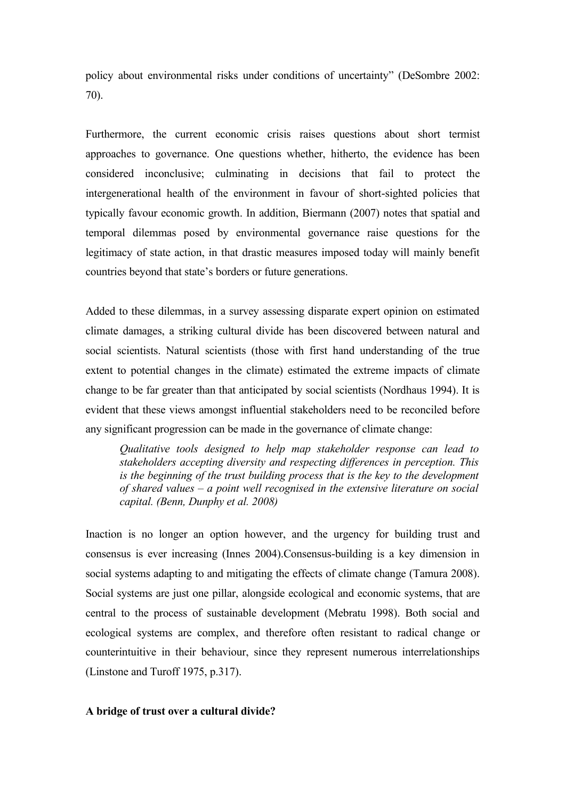policy about environmental risks under conditions of uncertainty" (DeSombre 2002: 70).

Furthermore, the current economic crisis raises questions about short termist approaches to governance. One questions whether, hitherto, the evidence has been considered inconclusive; culminating in decisions that fail to protect the intergenerational health of the environment in favour of short-sighted policies that typically favour economic growth. In addition, Biermann (2007) notes that spatial and temporal dilemmas posed by environmental governance raise questions for the legitimacy of state action, in that drastic measures imposed today will mainly benefit countries beyond that state's borders or future generations.

Added to these dilemmas, in a survey assessing disparate expert opinion on estimated climate damages, a striking cultural divide has been discovered between natural and social scientists. Natural scientists (those with first hand understanding of the true extent to potential changes in the climate) estimated the extreme impacts of climate change to be far greater than that anticipated by social scientists (Nordhaus 1994). It is evident that these views amongst influential stakeholders need to be reconciled before any significant progression can be made in the governance of climate change:

*Qualitative tools designed to help map stakeholder response can lead to stakeholders accepting diversity and respecting differences in perception. This is the beginning of the trust building process that is the key to the development of shared values – a point well recognised in the extensive literature on social capital. (Benn, Dunphy et al. 2008)*

Inaction is no longer an option however, and the urgency for building trust and consensus is ever increasing (Innes 2004).Consensus-building is a key dimension in social systems adapting to and mitigating the effects of climate change (Tamura 2008). Social systems are just one pillar, alongside ecological and economic systems, that are central to the process of sustainable development (Mebratu 1998). Both social and ecological systems are complex, and therefore often resistant to radical change or counterintuitive in their behaviour, since they represent numerous interrelationships (Linstone and Turoff 1975, p.317).

# **A bridge of trust over a cultural divide?**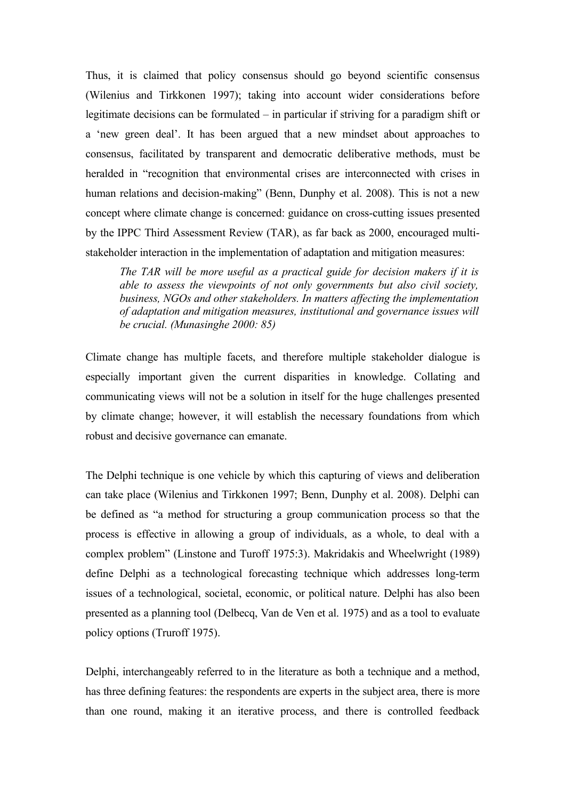Thus, it is claimed that policy consensus should go beyond scientific consensus (Wilenius and Tirkkonen 1997); taking into account wider considerations before legitimate decisions can be formulated – in particular if striving for a paradigm shift or a 'new green deal'. It has been argued that a new mindset about approaches to consensus, facilitated by transparent and democratic deliberative methods, must be heralded in "recognition that environmental crises are interconnected with crises in human relations and decision-making" (Benn, Dunphy et al. 2008). This is not a new concept where climate change is concerned: guidance on cross-cutting issues presented by the IPPC Third Assessment Review (TAR), as far back as 2000, encouraged multistakeholder interaction in the implementation of adaptation and mitigation measures:

*The TAR will be more useful as a practical guide for decision makers if it is able to assess the viewpoints of not only governments but also civil society, business, NGOs and other stakeholders. In matters affecting the implementation of adaptation and mitigation measures, institutional and governance issues will be crucial. (Munasinghe 2000: 85)* 

Climate change has multiple facets, and therefore multiple stakeholder dialogue is especially important given the current disparities in knowledge. Collating and communicating views will not be a solution in itself for the huge challenges presented by climate change; however, it will establish the necessary foundations from which robust and decisive governance can emanate.

The Delphi technique is one vehicle by which this capturing of views and deliberation can take place (Wilenius and Tirkkonen 1997; Benn, Dunphy et al. 2008). Delphi can be defined as "a method for structuring a group communication process so that the process is effective in allowing a group of individuals, as a whole, to deal with a complex problem" (Linstone and Turoff 1975:3). Makridakis and Wheelwright (1989) define Delphi as a technological forecasting technique which addresses long-term issues of a technological, societal, economic, or political nature. Delphi has also been presented as a planning tool (Delbecq, Van de Ven et al. 1975) and as a tool to evaluate policy options (Truroff 1975).

Delphi, interchangeably referred to in the literature as both a technique and a method, has three defining features: the respondents are experts in the subject area, there is more than one round, making it an iterative process, and there is controlled feedback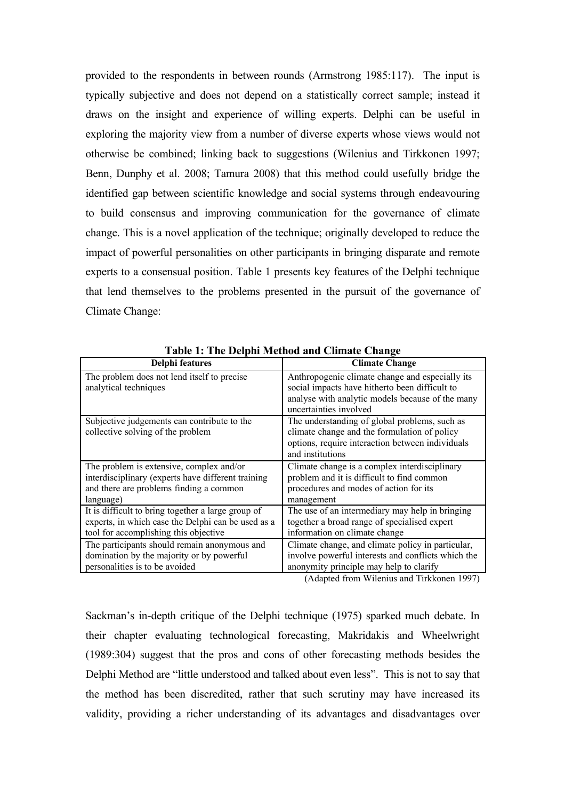provided to the respondents in between rounds (Armstrong 1985:117). The input is typically subjective and does not depend on a statistically correct sample; instead it draws on the insight and experience of willing experts. Delphi can be useful in exploring the majority view from a number of diverse experts whose views would not otherwise be combined; linking back to suggestions (Wilenius and Tirkkonen 1997; Benn, Dunphy et al. 2008; Tamura 2008) that this method could usefully bridge the identified gap between scientific knowledge and social systems through endeavouring to build consensus and improving communication for the governance of climate change. This is a novel application of the technique; originally developed to reduce the impact of powerful personalities on other participants in bringing disparate and remote experts to a consensual position. Table 1 presents key features of the Delphi technique that lend themselves to the problems presented in the pursuit of the governance of Climate Change:

| Delphi features                                    | <b>Climate Change</b>                              |
|----------------------------------------------------|----------------------------------------------------|
| The problem does not lend itself to precise        | Anthropogenic climate change and especially its    |
| analytical techniques                              | social impacts have hitherto been difficult to     |
|                                                    | analyse with analytic models because of the many   |
|                                                    | uncertainties involved                             |
| Subjective judgements can contribute to the        | The understanding of global problems, such as      |
| collective solving of the problem                  | climate change and the formulation of policy       |
|                                                    | options, require interaction between individuals   |
|                                                    | and institutions                                   |
| The problem is extensive, complex and/or           | Climate change is a complex interdisciplinary      |
| interdisciplinary (experts have different training | problem and it is difficult to find common         |
| and there are problems finding a common            | procedures and modes of action for its             |
| language)                                          | management                                         |
| It is difficult to bring together a large group of | The use of an intermediary may help in bringing    |
| experts, in which case the Delphi can be used as a | together a broad range of specialised expert       |
| tool for accomplishing this objective              | information on climate change                      |
| The participants should remain anonymous and       | Climate change, and climate policy in particular,  |
| domination by the majority or by powerful          | involve powerful interests and conflicts which the |
| personalities is to be avoided                     | anonymity principle may help to clarify            |

**Table 1: The Delphi Method and Climate Change**

(Adapted from Wilenius and Tirkkonen 1997)

Sackman's in-depth critique of the Delphi technique (1975) sparked much debate. In their chapter evaluating technological forecasting, Makridakis and Wheelwright (1989:304) suggest that the pros and cons of other forecasting methods besides the Delphi Method are "little understood and talked about even less". This is not to say that the method has been discredited, rather that such scrutiny may have increased its validity, providing a richer understanding of its advantages and disadvantages over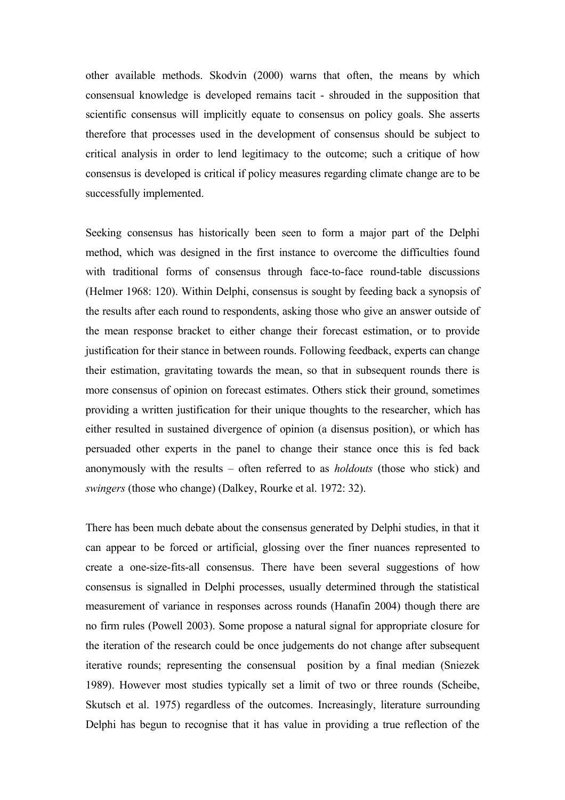other available methods. Skodvin (2000) warns that often, the means by which consensual knowledge is developed remains tacit - shrouded in the supposition that scientific consensus will implicitly equate to consensus on policy goals. She asserts therefore that processes used in the development of consensus should be subject to critical analysis in order to lend legitimacy to the outcome; such a critique of how consensus is developed is critical if policy measures regarding climate change are to be successfully implemented.

Seeking consensus has historically been seen to form a major part of the Delphi method, which was designed in the first instance to overcome the difficulties found with traditional forms of consensus through face-to-face round-table discussions (Helmer 1968: 120). Within Delphi, consensus is sought by feeding back a synopsis of the results after each round to respondents, asking those who give an answer outside of the mean response bracket to either change their forecast estimation, or to provide justification for their stance in between rounds. Following feedback, experts can change their estimation, gravitating towards the mean, so that in subsequent rounds there is more consensus of opinion on forecast estimates. Others stick their ground, sometimes providing a written justification for their unique thoughts to the researcher, which has either resulted in sustained divergence of opinion (a disensus position), or which has persuaded other experts in the panel to change their stance once this is fed back anonymously with the results – often referred to as *holdouts* (those who stick) and *swingers* (those who change) (Dalkey, Rourke et al. 1972: 32).

There has been much debate about the consensus generated by Delphi studies, in that it can appear to be forced or artificial, glossing over the finer nuances represented to create a one-size-fits-all consensus. There have been several suggestions of how consensus is signalled in Delphi processes, usually determined through the statistical measurement of variance in responses across rounds (Hanafin 2004) though there are no firm rules (Powell 2003). Some propose a natural signal for appropriate closure for the iteration of the research could be once judgements do not change after subsequent iterative rounds; representing the consensual position by a final median (Sniezek 1989). However most studies typically set a limit of two or three rounds (Scheibe, Skutsch et al. 1975) regardless of the outcomes. Increasingly, literature surrounding Delphi has begun to recognise that it has value in providing a true reflection of the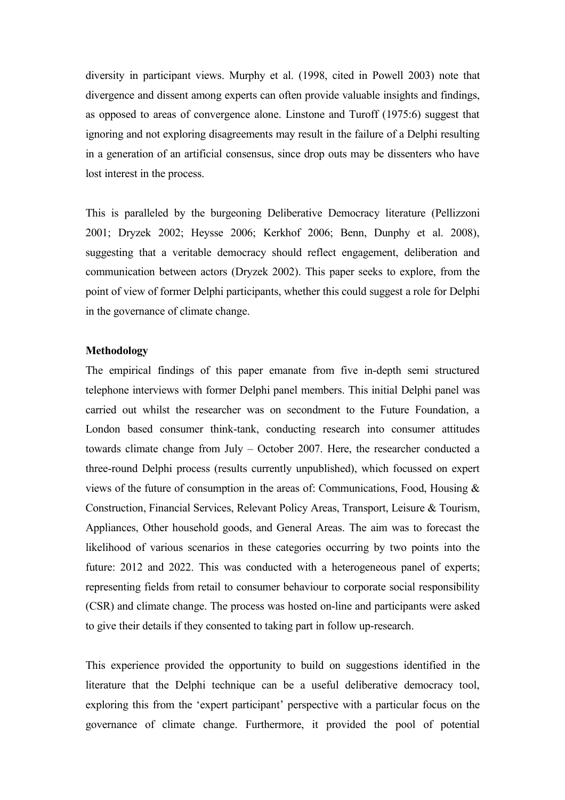diversity in participant views. Murphy et al. (1998, cited in Powell 2003) note that divergence and dissent among experts can often provide valuable insights and findings, as opposed to areas of convergence alone. Linstone and Turoff (1975:6) suggest that ignoring and not exploring disagreements may result in the failure of a Delphi resulting in a generation of an artificial consensus, since drop outs may be dissenters who have lost interest in the process.

This is paralleled by the burgeoning Deliberative Democracy literature (Pellizzoni 2001; Dryzek 2002; Heysse 2006; Kerkhof 2006; Benn, Dunphy et al. 2008), suggesting that a veritable democracy should reflect engagement, deliberation and communication between actors (Dryzek 2002). This paper seeks to explore, from the point of view of former Delphi participants, whether this could suggest a role for Delphi in the governance of climate change.

## **Methodology**

The empirical findings of this paper emanate from five in-depth semi structured telephone interviews with former Delphi panel members. This initial Delphi panel was carried out whilst the researcher was on secondment to the Future Foundation, a London based consumer think-tank, conducting research into consumer attitudes towards climate change from July – October 2007. Here, the researcher conducted a three-round Delphi process (results currently unpublished), which focussed on expert views of the future of consumption in the areas of: Communications, Food, Housing & Construction, Financial Services, Relevant Policy Areas, Transport, Leisure & Tourism, Appliances, Other household goods, and General Areas. The aim was to forecast the likelihood of various scenarios in these categories occurring by two points into the future: 2012 and 2022. This was conducted with a heterogeneous panel of experts; representing fields from retail to consumer behaviour to corporate social responsibility (CSR) and climate change. The process was hosted on-line and participants were asked to give their details if they consented to taking part in follow up-research.

This experience provided the opportunity to build on suggestions identified in the literature that the Delphi technique can be a useful deliberative democracy tool, exploring this from the 'expert participant' perspective with a particular focus on the governance of climate change. Furthermore, it provided the pool of potential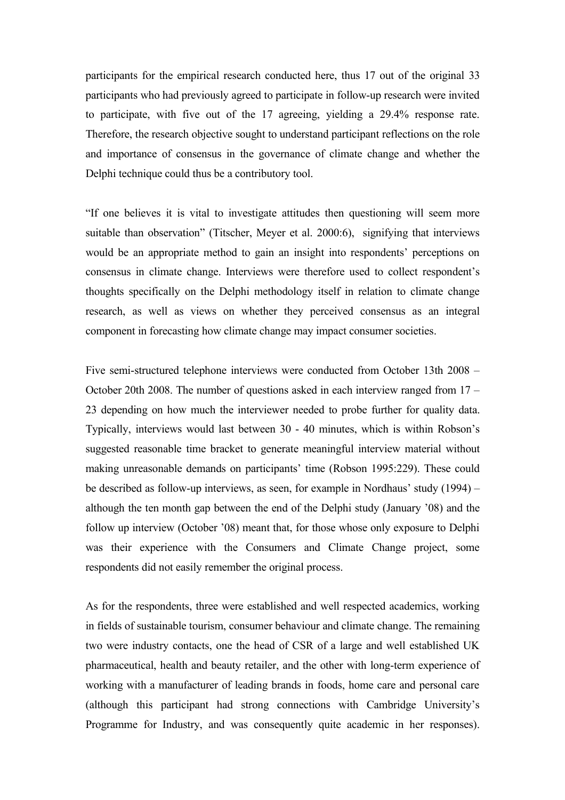participants for the empirical research conducted here, thus 17 out of the original 33 participants who had previously agreed to participate in follow-up research were invited to participate, with five out of the 17 agreeing, yielding a 29.4% response rate. Therefore, the research objective sought to understand participant reflections on the role and importance of consensus in the governance of climate change and whether the Delphi technique could thus be a contributory tool.

"If one believes it is vital to investigate attitudes then questioning will seem more suitable than observation" (Titscher, Meyer et al. 2000:6), signifying that interviews would be an appropriate method to gain an insight into respondents' perceptions on consensus in climate change. Interviews were therefore used to collect respondent's thoughts specifically on the Delphi methodology itself in relation to climate change research, as well as views on whether they perceived consensus as an integral component in forecasting how climate change may impact consumer societies.

Five semi-structured telephone interviews were conducted from October 13th 2008 – October 20th 2008. The number of questions asked in each interview ranged from 17 – 23 depending on how much the interviewer needed to probe further for quality data. Typically, interviews would last between 30 - 40 minutes, which is within Robson's suggested reasonable time bracket to generate meaningful interview material without making unreasonable demands on participants' time (Robson 1995:229). These could be described as follow-up interviews, as seen, for example in Nordhaus' study (1994) – although the ten month gap between the end of the Delphi study (January '08) and the follow up interview (October '08) meant that, for those whose only exposure to Delphi was their experience with the Consumers and Climate Change project, some respondents did not easily remember the original process.

As for the respondents, three were established and well respected academics, working in fields of sustainable tourism, consumer behaviour and climate change. The remaining two were industry contacts, one the head of CSR of a large and well established UK pharmaceutical, health and beauty retailer, and the other with long-term experience of working with a manufacturer of leading brands in foods, home care and personal care (although this participant had strong connections with Cambridge University's Programme for Industry, and was consequently quite academic in her responses).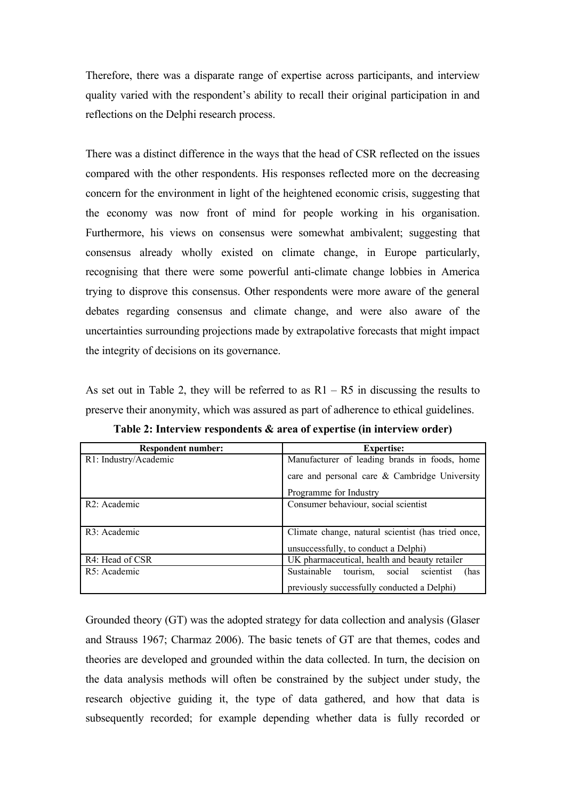Therefore, there was a disparate range of expertise across participants, and interview quality varied with the respondent's ability to recall their original participation in and reflections on the Delphi research process.

There was a distinct difference in the ways that the head of CSR reflected on the issues compared with the other respondents. His responses reflected more on the decreasing concern for the environment in light of the heightened economic crisis, suggesting that the economy was now front of mind for people working in his organisation. Furthermore, his views on consensus were somewhat ambivalent; suggesting that consensus already wholly existed on climate change, in Europe particularly, recognising that there were some powerful anti-climate change lobbies in America trying to disprove this consensus. Other respondents were more aware of the general debates regarding consensus and climate change, and were also aware of the uncertainties surrounding projections made by extrapolative forecasts that might impact the integrity of decisions on its governance.

As set out in Table 2, they will be referred to as  $R1 - R5$  in discussing the results to preserve their anonymity, which was assured as part of adherence to ethical guidelines.

| <b>Respondent number:</b> | <b>Expertise:</b>                                      |
|---------------------------|--------------------------------------------------------|
| R1: Industry/Academic     | Manufacturer of leading brands in foods, home          |
|                           | care and personal care & Cambridge University          |
|                           | Programme for Industry                                 |
| R <sub>2</sub> : Academic | Consumer behaviour, social scientist                   |
|                           |                                                        |
| R3: Academic              | Climate change, natural scientist (has tried once,     |
|                           | unsuccessfully, to conduct a Delphi)                   |
| R4: Head of CSR           | UK pharmaceutical, health and beauty retailer          |
| R5: Academic              | Sustainable<br>social<br>scientist<br>tourism.<br>(has |
|                           | previously successfully conducted a Delphi)            |

**Table 2: Interview respondents & area of expertise (in interview order)**

Grounded theory (GT) was the adopted strategy for data collection and analysis (Glaser and Strauss 1967; Charmaz 2006). The basic tenets of GT are that themes, codes and theories are developed and grounded within the data collected. In turn, the decision on the data analysis methods will often be constrained by the subject under study, the research objective guiding it, the type of data gathered, and how that data is subsequently recorded; for example depending whether data is fully recorded or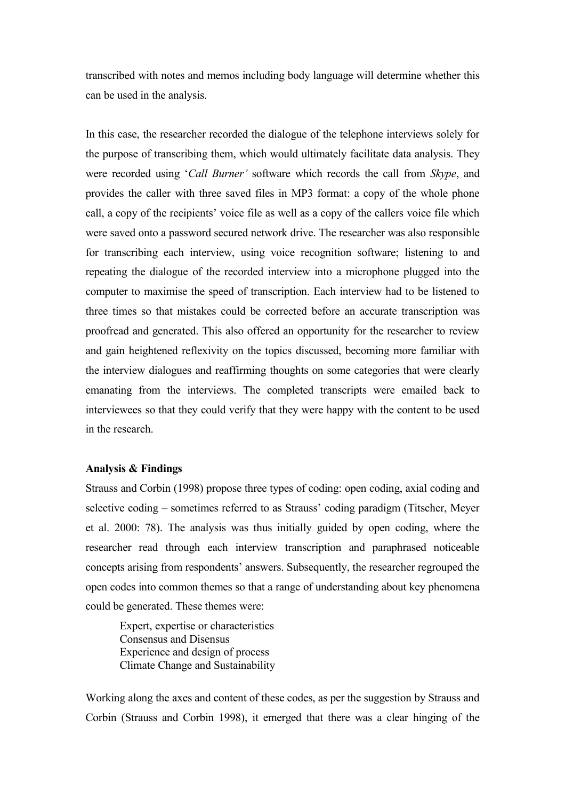transcribed with notes and memos including body language will determine whether this can be used in the analysis.

In this case, the researcher recorded the dialogue of the telephone interviews solely for the purpose of transcribing them, which would ultimately facilitate data analysis. They were recorded using '*Call Burner'* software which records the call from *Skype*, and provides the caller with three saved files in MP3 format: a copy of the whole phone call, a copy of the recipients' voice file as well as a copy of the callers voice file which were saved onto a password secured network drive. The researcher was also responsible for transcribing each interview, using voice recognition software; listening to and repeating the dialogue of the recorded interview into a microphone plugged into the computer to maximise the speed of transcription. Each interview had to be listened to three times so that mistakes could be corrected before an accurate transcription was proofread and generated. This also offered an opportunity for the researcher to review and gain heightened reflexivity on the topics discussed, becoming more familiar with the interview dialogues and reaffirming thoughts on some categories that were clearly emanating from the interviews. The completed transcripts were emailed back to interviewees so that they could verify that they were happy with the content to be used in the research.

## **Analysis & Findings**

Strauss and Corbin (1998) propose three types of coding: open coding, axial coding and selective coding – sometimes referred to as Strauss' coding paradigm (Titscher, Meyer et al. 2000: 78). The analysis was thus initially guided by open coding, where the researcher read through each interview transcription and paraphrased noticeable concepts arising from respondents' answers. Subsequently, the researcher regrouped the open codes into common themes so that a range of understanding about key phenomena could be generated. These themes were:

Expert, expertise or characteristics Consensus and Disensus Experience and design of process Climate Change and Sustainability

Working along the axes and content of these codes, as per the suggestion by Strauss and Corbin (Strauss and Corbin 1998), it emerged that there was a clear hinging of the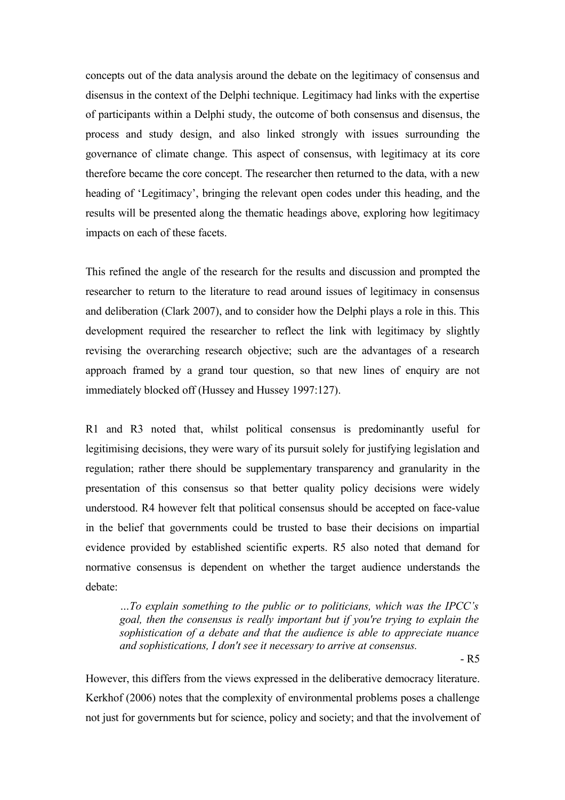concepts out of the data analysis around the debate on the legitimacy of consensus and disensus in the context of the Delphi technique. Legitimacy had links with the expertise of participants within a Delphi study, the outcome of both consensus and disensus, the process and study design, and also linked strongly with issues surrounding the governance of climate change. This aspect of consensus, with legitimacy at its core therefore became the core concept. The researcher then returned to the data, with a new heading of 'Legitimacy', bringing the relevant open codes under this heading, and the results will be presented along the thematic headings above, exploring how legitimacy impacts on each of these facets.

This refined the angle of the research for the results and discussion and prompted the researcher to return to the literature to read around issues of legitimacy in consensus and deliberation (Clark 2007), and to consider how the Delphi plays a role in this. This development required the researcher to reflect the link with legitimacy by slightly revising the overarching research objective; such are the advantages of a research approach framed by a grand tour question, so that new lines of enquiry are not immediately blocked off (Hussey and Hussey 1997:127).

R1 and R3 noted that, whilst political consensus is predominantly useful for legitimising decisions, they were wary of its pursuit solely for justifying legislation and regulation; rather there should be supplementary transparency and granularity in the presentation of this consensus so that better quality policy decisions were widely understood. R4 however felt that political consensus should be accepted on face-value in the belief that governments could be trusted to base their decisions on impartial evidence provided by established scientific experts. R5 also noted that demand for normative consensus is dependent on whether the target audience understands the debate:

*…To explain something to the public or to politicians, which was the IPCC's goal, then the consensus is really important but if you're trying to explain the sophistication of a debate and that the audience is able to appreciate nuance and sophistications, I don't see it necessary to arrive at consensus.*

- R5

However, this differs from the views expressed in the deliberative democracy literature. Kerkhof (2006) notes that the complexity of environmental problems poses a challenge not just for governments but for science, policy and society; and that the involvement of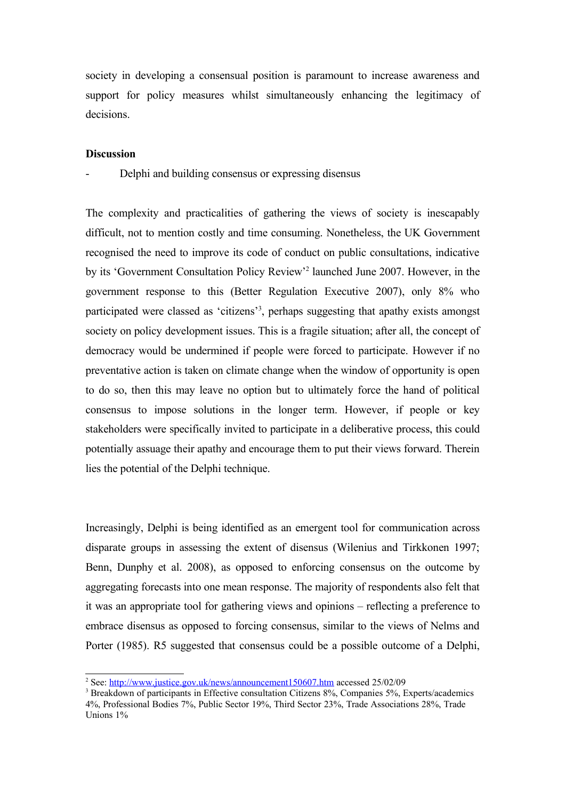society in developing a consensual position is paramount to increase awareness and support for policy measures whilst simultaneously enhancing the legitimacy of decisions.

# **Discussion**

Delphi and building consensus or expressing disensus

The complexity and practicalities of gathering the views of society is inescapably difficult, not to mention costly and time consuming. Nonetheless, the UK Government recognised the need to improve its code of conduct on public consultations, indicative by its 'Government Consultation Policy Review'[2](#page-11-0) launched June 2007. However, in the government response to this (Better Regulation Executive 2007), only 8% who participated were classed as 'citizens'<sup>[3](#page-11-1)</sup>, perhaps suggesting that apathy exists amongst society on policy development issues. This is a fragile situation; after all, the concept of democracy would be undermined if people were forced to participate. However if no preventative action is taken on climate change when the window of opportunity is open to do so, then this may leave no option but to ultimately force the hand of political consensus to impose solutions in the longer term. However, if people or key stakeholders were specifically invited to participate in a deliberative process, this could potentially assuage their apathy and encourage them to put their views forward. Therein lies the potential of the Delphi technique.

Increasingly, Delphi is being identified as an emergent tool for communication across disparate groups in assessing the extent of disensus (Wilenius and Tirkkonen 1997; Benn, Dunphy et al. 2008), as opposed to enforcing consensus on the outcome by aggregating forecasts into one mean response. The majority of respondents also felt that it was an appropriate tool for gathering views and opinions – reflecting a preference to embrace disensus as opposed to forcing consensus, similar to the views of Nelms and Porter (1985). R5 suggested that consensus could be a possible outcome of a Delphi,

<span id="page-11-0"></span><sup>&</sup>lt;sup>2</sup> See:<http://www.justice.gov.uk/news/announcement150607.htm>accessed 25/02/09

<span id="page-11-1"></span><sup>&</sup>lt;sup>3</sup> Breakdown of participants in Effective consultation Citizens 8%, Companies 5%, Experts/academics 4%, Professional Bodies 7%, Public Sector 19%, Third Sector 23%, Trade Associations 28%, Trade Unions 1%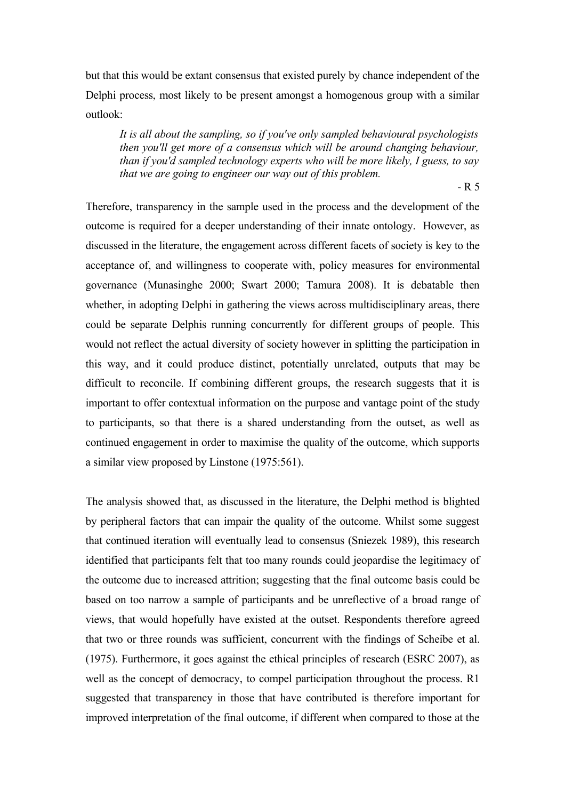but that this would be extant consensus that existed purely by chance independent of the Delphi process, most likely to be present amongst a homogenous group with a similar outlook:

*It is all about the sampling, so if you've only sampled behavioural psychologists then you'll get more of a consensus which will be around changing behaviour, than if you'd sampled technology experts who will be more likely, I guess, to say that we are going to engineer our way out of this problem.*

 $-R$  5

Therefore, transparency in the sample used in the process and the development of the outcome is required for a deeper understanding of their innate ontology. However, as discussed in the literature, the engagement across different facets of society is key to the acceptance of, and willingness to cooperate with, policy measures for environmental governance (Munasinghe 2000; Swart 2000; Tamura 2008). It is debatable then whether, in adopting Delphi in gathering the views across multidisciplinary areas, there could be separate Delphis running concurrently for different groups of people. This would not reflect the actual diversity of society however in splitting the participation in this way, and it could produce distinct, potentially unrelated, outputs that may be difficult to reconcile. If combining different groups, the research suggests that it is important to offer contextual information on the purpose and vantage point of the study to participants, so that there is a shared understanding from the outset, as well as continued engagement in order to maximise the quality of the outcome, which supports a similar view proposed by Linstone (1975:561).

The analysis showed that, as discussed in the literature, the Delphi method is blighted by peripheral factors that can impair the quality of the outcome. Whilst some suggest that continued iteration will eventually lead to consensus (Sniezek 1989), this research identified that participants felt that too many rounds could jeopardise the legitimacy of the outcome due to increased attrition; suggesting that the final outcome basis could be based on too narrow a sample of participants and be unreflective of a broad range of views, that would hopefully have existed at the outset. Respondents therefore agreed that two or three rounds was sufficient, concurrent with the findings of Scheibe et al. (1975). Furthermore, it goes against the ethical principles of research (ESRC 2007), as well as the concept of democracy, to compel participation throughout the process. R1 suggested that transparency in those that have contributed is therefore important for improved interpretation of the final outcome, if different when compared to those at the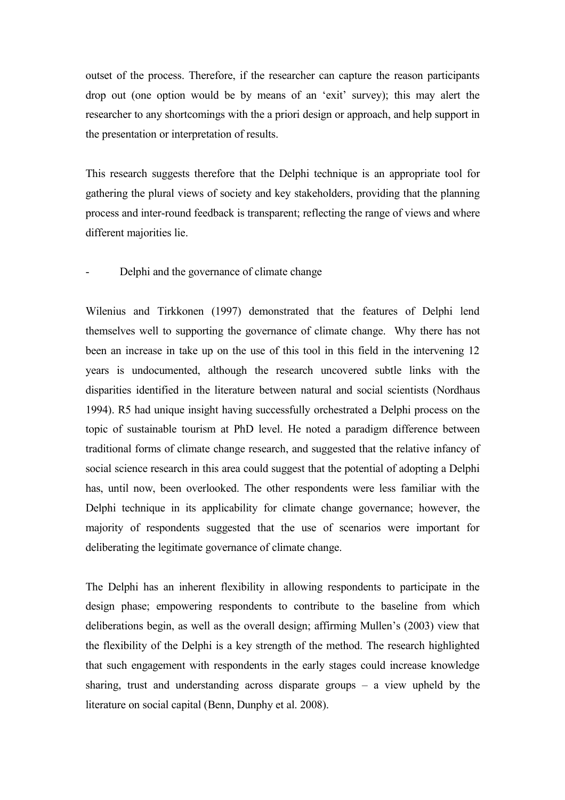outset of the process. Therefore, if the researcher can capture the reason participants drop out (one option would be by means of an 'exit' survey); this may alert the researcher to any shortcomings with the a priori design or approach, and help support in the presentation or interpretation of results.

This research suggests therefore that the Delphi technique is an appropriate tool for gathering the plural views of society and key stakeholders, providing that the planning process and inter-round feedback is transparent; reflecting the range of views and where different majorities lie.

# Delphi and the governance of climate change

Wilenius and Tirkkonen (1997) demonstrated that the features of Delphi lend themselves well to supporting the governance of climate change. Why there has not been an increase in take up on the use of this tool in this field in the intervening 12 years is undocumented, although the research uncovered subtle links with the disparities identified in the literature between natural and social scientists (Nordhaus 1994). R5 had unique insight having successfully orchestrated a Delphi process on the topic of sustainable tourism at PhD level. He noted a paradigm difference between traditional forms of climate change research, and suggested that the relative infancy of social science research in this area could suggest that the potential of adopting a Delphi has, until now, been overlooked. The other respondents were less familiar with the Delphi technique in its applicability for climate change governance; however, the majority of respondents suggested that the use of scenarios were important for deliberating the legitimate governance of climate change.

The Delphi has an inherent flexibility in allowing respondents to participate in the design phase; empowering respondents to contribute to the baseline from which deliberations begin, as well as the overall design; affirming Mullen's (2003) view that the flexibility of the Delphi is a key strength of the method. The research highlighted that such engagement with respondents in the early stages could increase knowledge sharing, trust and understanding across disparate groups – a view upheld by the literature on social capital (Benn, Dunphy et al. 2008).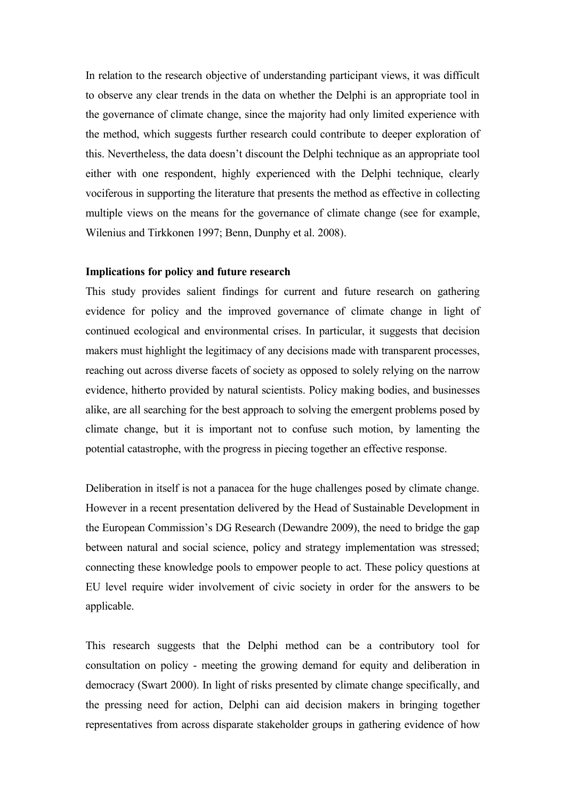In relation to the research objective of understanding participant views, it was difficult to observe any clear trends in the data on whether the Delphi is an appropriate tool in the governance of climate change, since the majority had only limited experience with the method, which suggests further research could contribute to deeper exploration of this. Nevertheless, the data doesn't discount the Delphi technique as an appropriate tool either with one respondent, highly experienced with the Delphi technique, clearly vociferous in supporting the literature that presents the method as effective in collecting multiple views on the means for the governance of climate change (see for example, Wilenius and Tirkkonen 1997; Benn, Dunphy et al. 2008).

# **Implications for policy and future research**

This study provides salient findings for current and future research on gathering evidence for policy and the improved governance of climate change in light of continued ecological and environmental crises. In particular, it suggests that decision makers must highlight the legitimacy of any decisions made with transparent processes, reaching out across diverse facets of society as opposed to solely relying on the narrow evidence, hitherto provided by natural scientists. Policy making bodies, and businesses alike, are all searching for the best approach to solving the emergent problems posed by climate change, but it is important not to confuse such motion, by lamenting the potential catastrophe, with the progress in piecing together an effective response.

Deliberation in itself is not a panacea for the huge challenges posed by climate change. However in a recent presentation delivered by the Head of Sustainable Development in the European Commission's DG Research (Dewandre 2009), the need to bridge the gap between natural and social science, policy and strategy implementation was stressed; connecting these knowledge pools to empower people to act. These policy questions at EU level require wider involvement of civic society in order for the answers to be applicable.

This research suggests that the Delphi method can be a contributory tool for consultation on policy - meeting the growing demand for equity and deliberation in democracy (Swart 2000). In light of risks presented by climate change specifically, and the pressing need for action, Delphi can aid decision makers in bringing together representatives from across disparate stakeholder groups in gathering evidence of how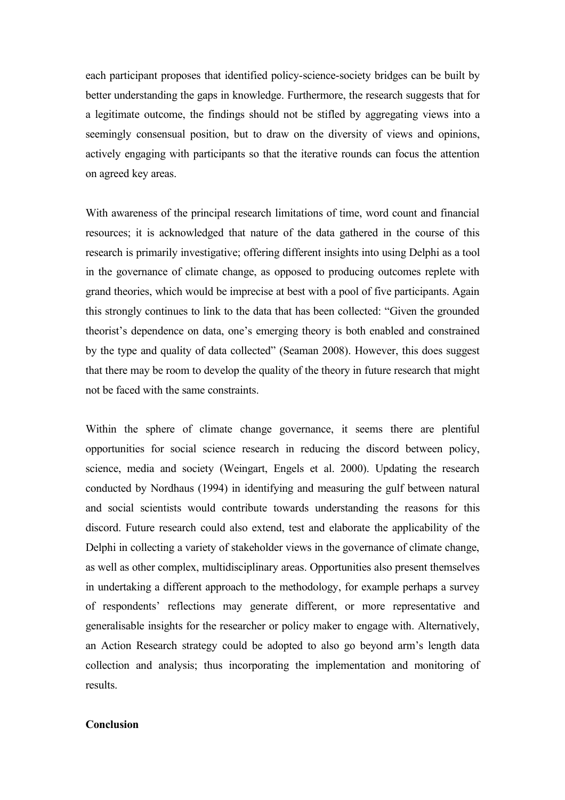each participant proposes that identified policy-science-society bridges can be built by better understanding the gaps in knowledge. Furthermore, the research suggests that for a legitimate outcome, the findings should not be stifled by aggregating views into a seemingly consensual position, but to draw on the diversity of views and opinions, actively engaging with participants so that the iterative rounds can focus the attention on agreed key areas.

With awareness of the principal research limitations of time, word count and financial resources; it is acknowledged that nature of the data gathered in the course of this research is primarily investigative; offering different insights into using Delphi as a tool in the governance of climate change, as opposed to producing outcomes replete with grand theories, which would be imprecise at best with a pool of five participants. Again this strongly continues to link to the data that has been collected: "Given the grounded theorist's dependence on data, one's emerging theory is both enabled and constrained by the type and quality of data collected" (Seaman 2008). However, this does suggest that there may be room to develop the quality of the theory in future research that might not be faced with the same constraints.

Within the sphere of climate change governance, it seems there are plentiful opportunities for social science research in reducing the discord between policy, science, media and society (Weingart, Engels et al. 2000). Updating the research conducted by Nordhaus (1994) in identifying and measuring the gulf between natural and social scientists would contribute towards understanding the reasons for this discord. Future research could also extend, test and elaborate the applicability of the Delphi in collecting a variety of stakeholder views in the governance of climate change, as well as other complex, multidisciplinary areas. Opportunities also present themselves in undertaking a different approach to the methodology, for example perhaps a survey of respondents' reflections may generate different, or more representative and generalisable insights for the researcher or policy maker to engage with. Alternatively, an Action Research strategy could be adopted to also go beyond arm's length data collection and analysis; thus incorporating the implementation and monitoring of results.

# **Conclusion**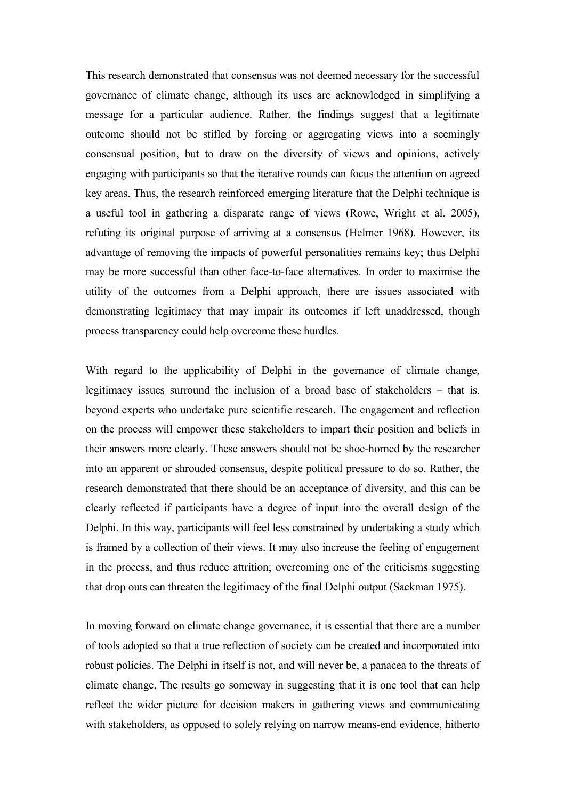This research demonstrated that consensus was not deemed necessary for the successful governance of climate change, although its uses are acknowledged in simplifying a message for a particular audience. Rather, the findings suggest that a legitimate outcome should not be stifled by forcing or aggregating views into a seemingly consensual position, but to draw on the diversity of views and opinions, actively engaging with participants so that the iterative rounds can focus the attention on agreed key areas. Thus, the research reinforced emerging literature that the Delphi technique is a useful tool in gathering a disparate range of views (Rowe, Wright et al. 2005), refuting its original purpose of arriving at a consensus (Helmer 1968). However, its advantage of removing the impacts of powerful personalities remains key; thus Delphi may be more successful than other face-to-face alternatives. In order to maximise the utility of the outcomes from a Delphi approach, there are issues associated with demonstrating legitimacy that may impair its outcomes if left unaddressed, though process transparency could help overcome these hurdles.

With regard to the applicability of Delphi in the governance of climate change, legitimacy issues surround the inclusion of a broad base of stakeholders – that is, beyond experts who undertake pure scientific research. The engagement and reflection on the process will empower these stakeholders to impart their position and beliefs in their answers more clearly. These answers should not be shoe-horned by the researcher into an apparent or shrouded consensus, despite political pressure to do so. Rather, the research demonstrated that there should be an acceptance of diversity, and this can be clearly reflected if participants have a degree of input into the overall design of the Delphi. In this way, participants will feel less constrained by undertaking a study which is framed by a collection of their views. It may also increase the feeling of engagement in the process, and thus reduce attrition; overcoming one of the criticisms suggesting that drop outs can threaten the legitimacy of the final Delphi output (Sackman 1975).

In moving forward on climate change governance, it is essential that there are a number of tools adopted so that a true reflection of society can be created and incorporated into robust policies. The Delphi in itself is not, and will never be, a panacea to the threats of climate change. The results go someway in suggesting that it is one tool that can help reflect the wider picture for decision makers in gathering views and communicating with stakeholders, as opposed to solely relying on narrow means-end evidence, hitherto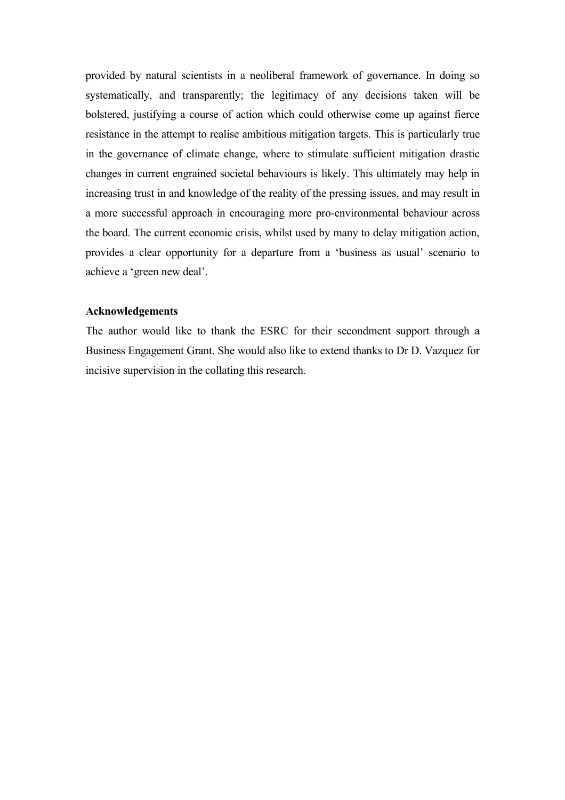provided by natural scientists in a neoliberal framework of governance. In doing so systematically, and transparently; the legitimacy of any decisions taken will be bolstered, justifying a course of action which could otherwise come up against fierce resistance in the attempt to realise ambitious mitigation targets. This is particularly true in the governance of climate change, where to stimulate sufficient mitigation drastic changes in current engrained societal behaviours is likely. This ultimately may help in increasing trust in and knowledge of the reality of the pressing issues, and may result in a more successful approach in encouraging more pro-environmental behaviour across the board. The current economic crisis, whilst used by many to delay mitigation action, provides a clear opportunity for a departure from a 'business as usual' scenario to achieve a 'green new deal'.

# **Acknowledgements**

The author would like to thank the ESRC for their secondment support through a Business Engagement Grant. She would also like to extend thanks to Dr D. Vazquez for incisive supervision in the collating this research.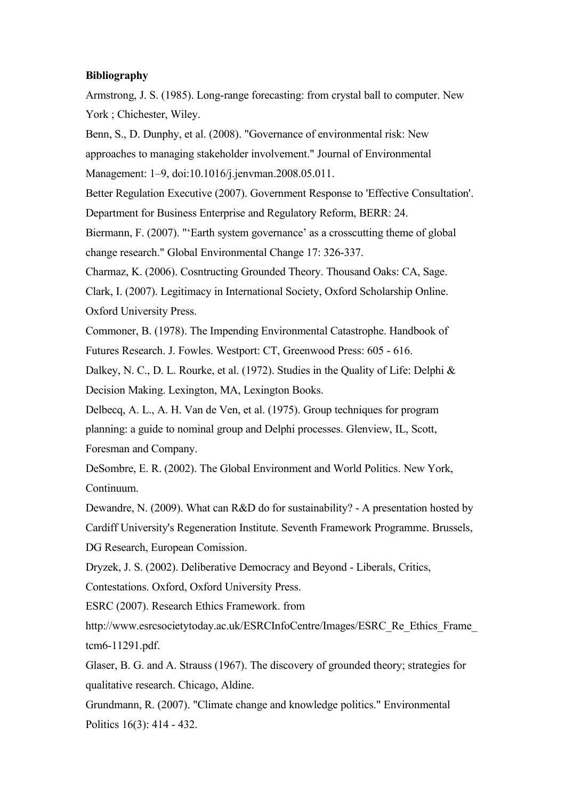#### **Bibliography**

Armstrong, J. S. (1985). Long-range forecasting: from crystal ball to computer. New York ; Chichester, Wiley.

Benn, S., D. Dunphy, et al. (2008). "Governance of environmental risk: New approaches to managing stakeholder involvement." Journal of Environmental Management: 1–9, doi:10.1016/j.jenvman.2008.05.011.

Better Regulation Executive (2007). Government Response to 'Effective Consultation'. Department for Business Enterprise and Regulatory Reform, BERR: 24.

Biermann, F. (2007). "'Earth system governance' as a crosscutting theme of global change research." Global Environmental Change 17: 326-337.

Charmaz, K. (2006). Cosntructing Grounded Theory. Thousand Oaks: CA, Sage.

Clark, I. (2007). Legitimacy in International Society, Oxford Scholarship Online. Oxford University Press.

Commoner, B. (1978). The Impending Environmental Catastrophe. Handbook of Futures Research. J. Fowles. Westport: CT, Greenwood Press: 605 - 616.

Dalkey, N. C., D. L. Rourke, et al. (1972). Studies in the Quality of Life: Delphi & Decision Making. Lexington, MA, Lexington Books.

Delbecq, A. L., A. H. Van de Ven, et al. (1975). Group techniques for program planning: a guide to nominal group and Delphi processes. Glenview, IL, Scott, Foresman and Company.

DeSombre, E. R. (2002). The Global Environment and World Politics. New York, Continuum.

Dewandre, N. (2009). What can R&D do for sustainability? - A presentation hosted by Cardiff University's Regeneration Institute. Seventh Framework Programme. Brussels, DG Research, European Comission.

Dryzek, J. S. (2002). Deliberative Democracy and Beyond - Liberals, Critics,

Contestations. Oxford, Oxford University Press.

ESRC (2007). Research Ethics Framework. from

http://www.esrcsocietytoday.ac.uk/ESRCInfoCentre/Images/ESRC\_Re\_Ethics\_Frame\_ tcm6-11291.pdf.

Glaser, B. G. and A. Strauss (1967). The discovery of grounded theory; strategies for qualitative research. Chicago, Aldine.

Grundmann, R. (2007). "Climate change and knowledge politics." Environmental Politics 16(3): 414 - 432.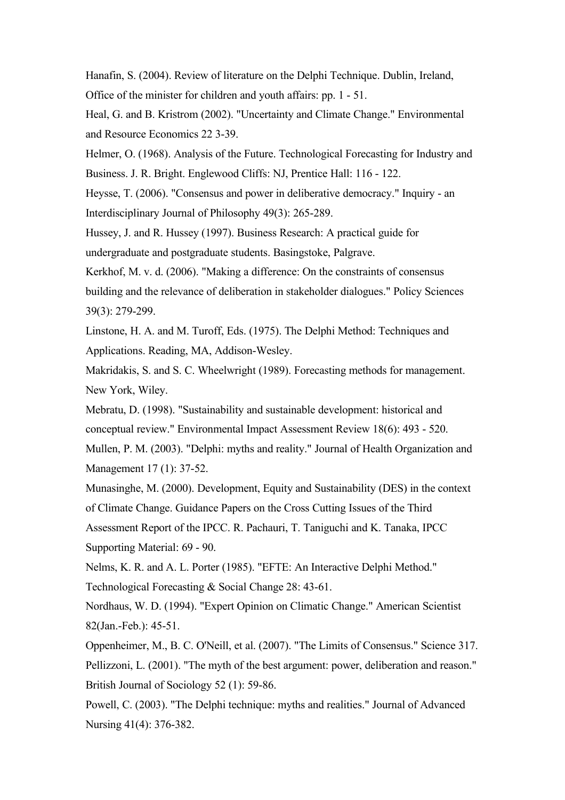Hanafin, S. (2004). Review of literature on the Delphi Technique. Dublin, Ireland, Office of the minister for children and youth affairs: pp. 1 - 51.

Heal, G. and B. Kristrom (2002). "Uncertainty and Climate Change." Environmental and Resource Economics 22 3-39.

Helmer, O. (1968). Analysis of the Future. Technological Forecasting for Industry and Business. J. R. Bright. Englewood Cliffs: NJ, Prentice Hall: 116 - 122.

Heysse, T. (2006). "Consensus and power in deliberative democracy." Inquiry - an Interdisciplinary Journal of Philosophy 49(3): 265-289.

Hussey, J. and R. Hussey (1997). Business Research: A practical guide for undergraduate and postgraduate students. Basingstoke, Palgrave.

Kerkhof, M. v. d. (2006). "Making a difference: On the constraints of consensus building and the relevance of deliberation in stakeholder dialogues." Policy Sciences 39(3): 279-299.

Linstone, H. A. and M. Turoff, Eds. (1975). The Delphi Method: Techniques and Applications. Reading, MA, Addison-Wesley.

Makridakis, S. and S. C. Wheelwright (1989). Forecasting methods for management. New York, Wiley.

Mebratu, D. (1998). "Sustainability and sustainable development: historical and conceptual review." Environmental Impact Assessment Review 18(6): 493 - 520.

Mullen, P. M. (2003). "Delphi: myths and reality." Journal of Health Organization and Management 17 (1): 37-52.

Munasinghe, M. (2000). Development, Equity and Sustainability (DES) in the context of Climate Change. Guidance Papers on the Cross Cutting Issues of the Third

Assessment Report of the IPCC. R. Pachauri, T. Taniguchi and K. Tanaka, IPCC Supporting Material: 69 - 90.

Nelms, K. R. and A. L. Porter (1985). "EFTE: An Interactive Delphi Method." Technological Forecasting & Social Change 28: 43-61.

Nordhaus, W. D. (1994). "Expert Opinion on Climatic Change." American Scientist 82(Jan.-Feb.): 45-51.

Oppenheimer, M., B. C. O'Neill, et al. (2007). "The Limits of Consensus." Science 317. Pellizzoni, L. (2001). "The myth of the best argument: power, deliberation and reason." British Journal of Sociology 52 (1): 59-86.

Powell, C. (2003). "The Delphi technique: myths and realities." Journal of Advanced Nursing 41(4): 376-382.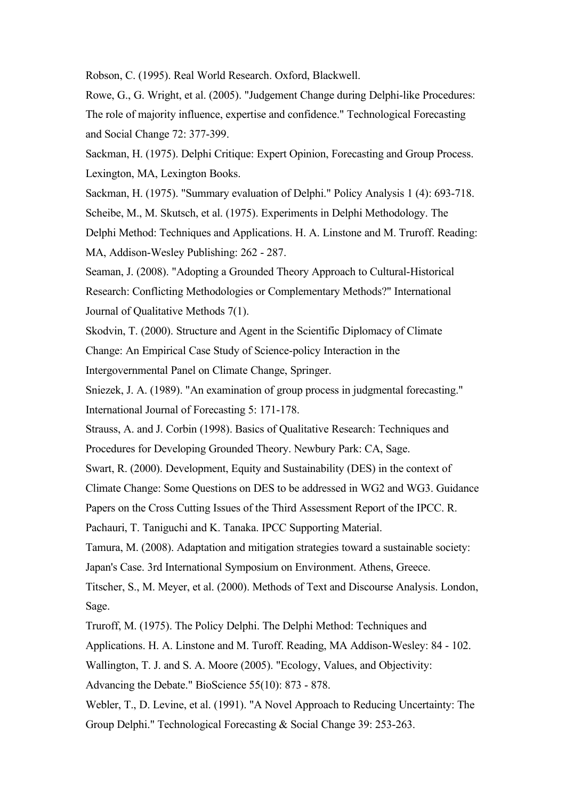Robson, C. (1995). Real World Research. Oxford, Blackwell.

Rowe, G., G. Wright, et al. (2005). "Judgement Change during Delphi-like Procedures: The role of majority influence, expertise and confidence." Technological Forecasting and Social Change 72: 377-399.

Sackman, H. (1975). Delphi Critique: Expert Opinion, Forecasting and Group Process. Lexington, MA, Lexington Books.

Sackman, H. (1975). "Summary evaluation of Delphi." Policy Analysis 1 (4): 693-718. Scheibe, M., M. Skutsch, et al. (1975). Experiments in Delphi Methodology. The Delphi Method: Techniques and Applications. H. A. Linstone and M. Truroff. Reading: MA, Addison-Wesley Publishing: 262 - 287.

Seaman, J. (2008). "Adopting a Grounded Theory Approach to Cultural-Historical Research: Conflicting Methodologies or Complementary Methods?" International Journal of Qualitative Methods 7(1).

Skodvin, T. (2000). Structure and Agent in the Scientific Diplomacy of Climate Change: An Empirical Case Study of Science-policy Interaction in the Intergovernmental Panel on Climate Change, Springer.

Sniezek, J. A. (1989). "An examination of group process in judgmental forecasting." International Journal of Forecasting 5: 171-178.

Strauss, A. and J. Corbin (1998). Basics of Qualitative Research: Techniques and Procedures for Developing Grounded Theory. Newbury Park: CA, Sage.

Swart, R. (2000). Development, Equity and Sustainability (DES) in the context of

Climate Change: Some Questions on DES to be addressed in WG2 and WG3. Guidance

Papers on the Cross Cutting Issues of the Third Assessment Report of the IPCC. R.

Pachauri, T. Taniguchi and K. Tanaka. IPCC Supporting Material.

Tamura, M. (2008). Adaptation and mitigation strategies toward a sustainable society:

Japan's Case. 3rd International Symposium on Environment. Athens, Greece.

Titscher, S., M. Meyer, et al. (2000). Methods of Text and Discourse Analysis. London, Sage.

Truroff, M. (1975). The Policy Delphi. The Delphi Method: Techniques and

Applications. H. A. Linstone and M. Turoff. Reading, MA Addison-Wesley: 84 - 102.

Wallington, T. J. and S. A. Moore (2005). "Ecology, Values, and Objectivity:

Advancing the Debate." BioScience 55(10): 873 - 878.

Webler, T., D. Levine, et al. (1991). "A Novel Approach to Reducing Uncertainty: The Group Delphi." Technological Forecasting & Social Change 39: 253-263.